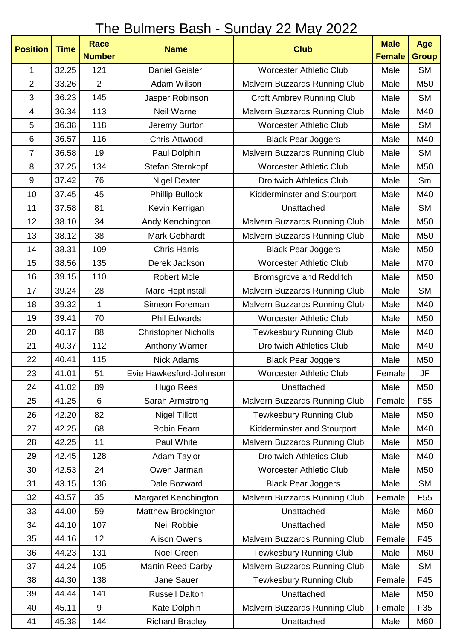## The Bulmers Bash - Sunday 22 May 2022

| <b>Position</b>  | <b>Time</b> | <b>Race</b>    | <b>Name</b>                 | <b>Club</b>                          | <b>Male</b>   | Age             |
|------------------|-------------|----------------|-----------------------------|--------------------------------------|---------------|-----------------|
|                  |             | <b>Number</b>  |                             |                                      | <b>Female</b> | <b>Group</b>    |
| 1                | 32.25       | 121            | <b>Daniel Geisler</b>       | <b>Worcester Athletic Club</b>       | Male          | <b>SM</b>       |
| $\overline{2}$   | 33.26       | $\overline{2}$ | Adam Wilson                 | Malvern Buzzards Running Club        | Male          | M50             |
| 3                | 36.23       | 145            | Jasper Robinson             | <b>Croft Ambrey Running Club</b>     | Male          | <b>SM</b>       |
| 4                | 36.34       | 113            | Neil Warne                  | Malvern Buzzards Running Club        | Male          | M40             |
| 5                | 36.38       | 118            | Jeremy Burton               | <b>Worcester Athletic Club</b>       | Male          | <b>SM</b>       |
| $6\phantom{1}$   | 36.57       | 116            | <b>Chris Attwood</b>        | <b>Black Pear Joggers</b>            | Male          | M40             |
| $\overline{7}$   | 36.58       | 19             | Paul Dolphin                | Malvern Buzzards Running Club        | Male          | <b>SM</b>       |
| 8                | 37.25       | 134            | Stefan Sternkopf            | <b>Worcester Athletic Club</b>       | Male          | M50             |
| $\boldsymbol{9}$ | 37.42       | 76             | <b>Nigel Dexter</b>         | <b>Droitwich Athletics Club</b>      | Male          | Sm              |
| 10               | 37.45       | 45             | <b>Phillip Bullock</b>      | Kidderminster and Stourport          | Male          | M40             |
| 11               | 37.58       | 81             | Kevin Kerrigan              | Unattached                           | Male          | <b>SM</b>       |
| 12               | 38.10       | 34             | Andy Kenchington            | <b>Malvern Buzzards Running Club</b> | Male          | M50             |
| 13               | 38.12       | 38             | Mark Gebhardt               | Malvern Buzzards Running Club        | Male          | M50             |
| 14               | 38.31       | 109            | <b>Chris Harris</b>         | <b>Black Pear Joggers</b>            | Male          | M50             |
| 15               | 38.56       | 135            | Derek Jackson               | <b>Worcester Athletic Club</b>       | Male          | M70             |
| 16               | 39.15       | 110            | <b>Robert Mole</b>          | Bromsgrove and Redditch              | Male          | M50             |
| 17               | 39.24       | 28             | Marc Heptinstall            | Malvern Buzzards Running Club        | Male          | <b>SM</b>       |
| 18               | 39.32       | $\mathbf{1}$   | Simeon Foreman              | Malvern Buzzards Running Club        | Male          | M40             |
| 19               | 39.41       | 70             | <b>Phil Edwards</b>         | <b>Worcester Athletic Club</b>       | Male          | M50             |
| 20               | 40.17       | 88             | <b>Christopher Nicholls</b> | <b>Tewkesbury Running Club</b>       | Male          | M40             |
| 21               | 40.37       | 112            | Anthony Warner              | <b>Droitwich Athletics Club</b>      | Male          | M40             |
| 22               | 40.41       | 115            | <b>Nick Adams</b>           | <b>Black Pear Joggers</b>            | Male          | M50             |
| 23               | 41.01       | 51             | Evie Hawkesford-Johnson     | <b>Worcester Athletic Club</b>       | Female        | JF              |
| 24               | 41.02       | 89             | Hugo Rees                   | Unattached                           | Male          | M50             |
| 25               | 41.25       | 6              | Sarah Armstrong             | <b>Malvern Buzzards Running Club</b> | Female        | F <sub>55</sub> |
| 26               | 42.20       | 82             | <b>Nigel Tillott</b>        | <b>Tewkesbury Running Club</b>       | Male          | M50             |
| 27               | 42.25       | 68             | Robin Fearn                 | Kidderminster and Stourport          | Male          | M40             |
| 28               | 42.25       | 11             | Paul White                  | Malvern Buzzards Running Club        | Male          | M50             |
| 29               | 42.45       | 128            | Adam Taylor                 | <b>Droitwich Athletics Club</b>      | Male          | M40             |
| 30               | 42.53       | 24             | Owen Jarman                 | <b>Worcester Athletic Club</b>       | Male          | M50             |
| 31               | 43.15       | 136            | Dale Bozward                | <b>Black Pear Joggers</b>            | Male          | <b>SM</b>       |
| 32               | 43.57       | 35             | Margaret Kenchington        | Malvern Buzzards Running Club        | Female        | F <sub>55</sub> |
| 33               | 44.00       | 59             | Matthew Brockington         | Unattached                           | Male          | M60             |
| 34               | 44.10       | 107            | Neil Robbie                 | Unattached                           | Male          | M50             |
| 35               | 44.16       | 12             | <b>Alison Owens</b>         | Malvern Buzzards Running Club        | Female        | F45             |
| 36               | 44.23       | 131            | Noel Green                  | <b>Tewkesbury Running Club</b>       | Male          | M60             |
| 37               | 44.24       | 105            | Martin Reed-Darby           | Malvern Buzzards Running Club        | Male          | <b>SM</b>       |
| 38               | 44.30       | 138            | Jane Sauer                  | <b>Tewkesbury Running Club</b>       | Female        | F45             |
| 39               | 44.44       | 141            | <b>Russell Dalton</b>       | Unattached                           | Male          | M50             |
| 40               | 45.11       | 9              | Kate Dolphin                | Malvern Buzzards Running Club        | Female        | F35             |
| 41               | 45.38       | 144            | <b>Richard Bradley</b>      | Unattached                           | Male          | M60             |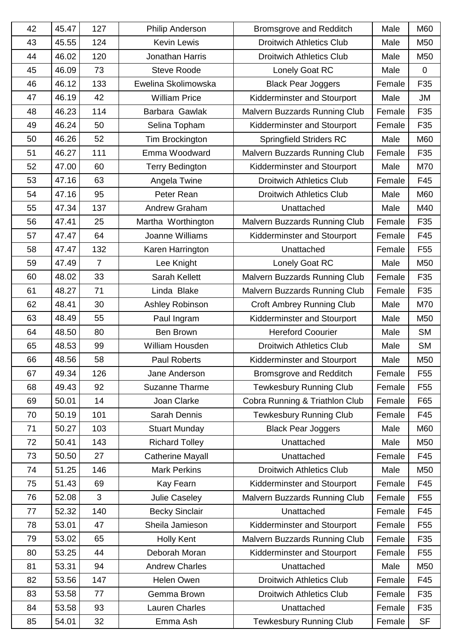| 42 | 45.47 | 127            | Philip Anderson         | <b>Bromsgrove and Redditch</b>   | Male   | M60             |
|----|-------|----------------|-------------------------|----------------------------------|--------|-----------------|
| 43 | 45.55 | 124            | <b>Kevin Lewis</b>      | <b>Droitwich Athletics Club</b>  | Male   | M50             |
| 44 | 46.02 | 120            | Jonathan Harris         | <b>Droitwich Athletics Club</b>  | Male   | M50             |
| 45 | 46.09 | 73             | <b>Steve Roode</b>      | Lonely Goat RC                   | Male   | $\Omega$        |
| 46 | 46.12 | 133            | Ewelina Skolimowska     | <b>Black Pear Joggers</b>        | Female | F35             |
| 47 | 46.19 | 42             | <b>William Price</b>    | Kidderminster and Stourport      | Male   | <b>JM</b>       |
| 48 | 46.23 | 114            | Barbara Gawlak          | Malvern Buzzards Running Club    | Female | F <sub>35</sub> |
| 49 | 46.24 | 50             | Selina Topham           | Kidderminster and Stourport      | Female | F <sub>35</sub> |
| 50 | 46.26 | 52             | Tim Brockington         | <b>Springfield Striders RC</b>   | Male   | M60             |
| 51 | 46.27 | 111            | Emma Woodward           | Malvern Buzzards Running Club    | Female | F35             |
| 52 | 47.00 | 60             | <b>Terry Bedington</b>  | Kidderminster and Stourport      | Male   | M70             |
| 53 | 47.16 | 63             | Angela Twine            | <b>Droitwich Athletics Club</b>  | Female | F45             |
| 54 | 47.16 | 95             | Peter Rean              | <b>Droitwich Athletics Club</b>  | Male   | M60             |
| 55 | 47.34 | 137            | Andrew Graham           | Unattached                       | Male   | M40             |
| 56 | 47.41 | 25             | Martha Worthington      | Malvern Buzzards Running Club    | Female | F <sub>35</sub> |
| 57 | 47.47 | 64             | Joanne Williams         | Kidderminster and Stourport      | Female | F45             |
| 58 | 47.47 | 132            | Karen Harrington        | Unattached                       | Female | F <sub>55</sub> |
| 59 | 47.49 | $\overline{7}$ | Lee Knight              | Lonely Goat RC                   | Male   | M50             |
| 60 | 48.02 | 33             | Sarah Kellett           | Malvern Buzzards Running Club    | Female | F35             |
| 61 | 48.27 | 71             | Linda Blake             | Malvern Buzzards Running Club    | Female | F35             |
| 62 | 48.41 | 30             | Ashley Robinson         | <b>Croft Ambrey Running Club</b> | Male   | M70             |
| 63 | 48.49 | 55             | Paul Ingram             | Kidderminster and Stourport      | Male   | M50             |
| 64 | 48.50 | 80             | <b>Ben Brown</b>        | <b>Hereford Coourier</b>         | Male   | <b>SM</b>       |
| 65 | 48.53 | 99             | William Housden         | <b>Droitwich Athletics Club</b>  | Male   | <b>SM</b>       |
| 66 | 48.56 | 58             | <b>Paul Roberts</b>     | Kidderminster and Stourport      | Male   | M50             |
| 67 | 49.34 | 126            | Jane Anderson           | Bromsgrove and Redditch          | Female | F <sub>55</sub> |
| 68 | 49.43 | 92             | <b>Suzanne Tharme</b>   | <b>Tewkesbury Running Club</b>   | Female | F <sub>55</sub> |
| 69 | 50.01 | 14             | Joan Clarke             | Cobra Running & Triathlon Club   | Female | F65             |
| 70 | 50.19 | 101            | Sarah Dennis            | <b>Tewkesbury Running Club</b>   | Female | F45             |
| 71 | 50.27 | 103            | <b>Stuart Munday</b>    | <b>Black Pear Joggers</b>        | Male   | M60             |
| 72 | 50.41 | 143            | <b>Richard Tolley</b>   | Unattached                       | Male   | M50             |
| 73 | 50.50 | 27             | <b>Catherine Mayall</b> | Unattached                       | Female | F45             |
| 74 | 51.25 | 146            | <b>Mark Perkins</b>     | <b>Droitwich Athletics Club</b>  | Male   | M50             |
| 75 | 51.43 | 69             | Kay Fearn               | Kidderminster and Stourport      | Female | F45             |
| 76 | 52.08 | 3              | Julie Caseley           | Malvern Buzzards Running Club    | Female | F <sub>55</sub> |
| 77 | 52.32 | 140            | <b>Becky Sinclair</b>   | Unattached                       | Female | F45             |
| 78 | 53.01 | 47             | Sheila Jamieson         | Kidderminster and Stourport      | Female | F <sub>55</sub> |
| 79 | 53.02 | 65             | <b>Holly Kent</b>       | Malvern Buzzards Running Club    | Female | F35             |
| 80 | 53.25 | 44             | Deborah Moran           | Kidderminster and Stourport      | Female | F <sub>55</sub> |
| 81 | 53.31 | 94             | <b>Andrew Charles</b>   | Unattached                       | Male   | M50             |
| 82 | 53.56 | 147            | Helen Owen              | <b>Droitwich Athletics Club</b>  | Female | F45             |
| 83 | 53.58 | 77             | Gemma Brown             | <b>Droitwich Athletics Club</b>  | Female | F <sub>35</sub> |
| 84 | 53.58 | 93             | Lauren Charles          | Unattached                       | Female | F <sub>35</sub> |
| 85 | 54.01 | 32             | Emma Ash                | <b>Tewkesbury Running Club</b>   | Female | <b>SF</b>       |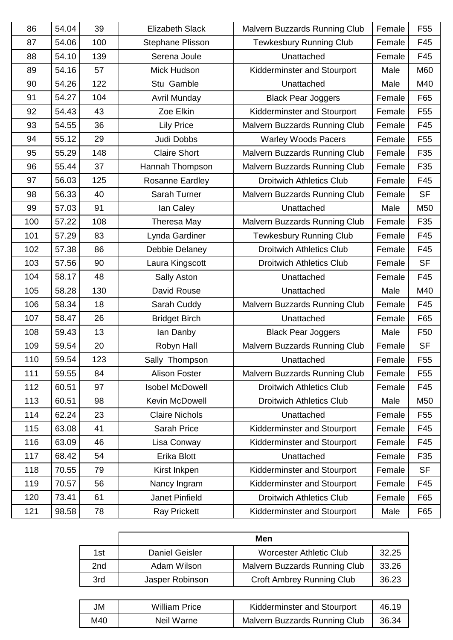| 86  | 54.04 | 39  | <b>Elizabeth Slack</b> | Malvern Buzzards Running Club   | Female | F <sub>55</sub> |
|-----|-------|-----|------------------------|---------------------------------|--------|-----------------|
| 87  | 54.06 | 100 | Stephane Plisson       | <b>Tewkesbury Running Club</b>  | Female | F45             |
| 88  | 54.10 | 139 | Serena Joule           | Unattached                      | Female | F45             |
| 89  | 54.16 | 57  | Mick Hudson            | Kidderminster and Stourport     | Male   | M60             |
| 90  | 54.26 | 122 | Stu Gamble             | Unattached                      | Male   | M40             |
| 91  | 54.27 | 104 | <b>Avril Munday</b>    | <b>Black Pear Joggers</b>       | Female | F65             |
| 92  | 54.43 | 43  | Zoe Elkin              | Kidderminster and Stourport     | Female | F <sub>55</sub> |
| 93  | 54.55 | 36  | <b>Lily Price</b>      | Malvern Buzzards Running Club   | Female | F45             |
| 94  | 55.12 | 29  | Judi Dobbs             | <b>Warley Woods Pacers</b>      | Female | F <sub>55</sub> |
| 95  | 55.29 | 148 | <b>Claire Short</b>    | Malvern Buzzards Running Club   | Female | F <sub>35</sub> |
| 96  | 55.44 | 37  | Hannah Thompson        | Malvern Buzzards Running Club   | Female | F35             |
| 97  | 56.03 | 125 | <b>Rosanne Eardley</b> | <b>Droitwich Athletics Club</b> | Female | F45             |
| 98  | 56.33 | 40  | Sarah Turner           | Malvern Buzzards Running Club   | Female | <b>SF</b>       |
| 99  | 57.03 | 91  | lan Caley              | Unattached                      | Male   | M50             |
| 100 | 57.22 | 108 | Theresa May            | Malvern Buzzards Running Club   | Female | F35             |
| 101 | 57.29 | 83  | Lynda Gardiner         | <b>Tewkesbury Running Club</b>  | Female | F45             |
| 102 | 57.38 | 86  | Debbie Delaney         | <b>Droitwich Athletics Club</b> | Female | F45             |
| 103 | 57.56 | 90  | Laura Kingscott        | <b>Droitwich Athletics Club</b> | Female | <b>SF</b>       |
| 104 | 58.17 | 48  | Sally Aston            | Unattached                      | Female | F45             |
| 105 | 58.28 | 130 | David Rouse            | Unattached                      | Male   | M40             |
| 106 | 58.34 | 18  | Sarah Cuddy            | Malvern Buzzards Running Club   | Female | F45             |
| 107 | 58.47 | 26  | <b>Bridget Birch</b>   | Unattached                      | Female | F65             |
| 108 | 59.43 | 13  | lan Danby              | <b>Black Pear Joggers</b>       | Male   | F50             |
| 109 | 59.54 | 20  | Robyn Hall             | Malvern Buzzards Running Club   | Female | <b>SF</b>       |
| 110 | 59.54 | 123 | Sally Thompson         | Unattached                      | Female | F <sub>55</sub> |
| 111 | 59.55 | 84  | <b>Alison Foster</b>   | Malvern Buzzards Running Club   | Female | F <sub>55</sub> |
| 112 | 60.51 | 97  | <b>Isobel McDowell</b> | <b>Droitwich Athletics Club</b> | Female | F45             |
| 113 | 60.51 | 98  | Kevin McDowell         | <b>Droitwich Athletics Club</b> | Male   | M50             |
| 114 | 62.24 | 23  | <b>Claire Nichols</b>  | Unattached                      | Female | F <sub>55</sub> |
| 115 | 63.08 | 41  | Sarah Price            | Kidderminster and Stourport     | Female | F45             |
| 116 | 63.09 | 46  | Lisa Conway            | Kidderminster and Stourport     | Female | F45             |
| 117 | 68.42 | 54  | Erika Blott            | Unattached                      | Female | F35             |
| 118 | 70.55 | 79  | Kirst Inkpen           | Kidderminster and Stourport     | Female | <b>SF</b>       |
| 119 | 70.57 | 56  | Nancy Ingram           | Kidderminster and Stourport     | Female | F45             |
| 120 | 73.41 | 61  | Janet Pinfield         | <b>Droitwich Athletics Club</b> | Female | F65             |
| 121 | 98.58 | 78  | <b>Ray Prickett</b>    | Kidderminster and Stourport     | Male   | F65             |

|                 | Men                   |                                  |       |  |  |
|-----------------|-----------------------|----------------------------------|-------|--|--|
| 1st             | <b>Daniel Geisler</b> | <b>Worcester Athletic Club</b>   | 32.25 |  |  |
| 2 <sub>nd</sub> | Adam Wilson           | Malvern Buzzards Running Club    | 33.26 |  |  |
| 3rd             | Jasper Robinson       | <b>Croft Ambrey Running Club</b> | 36.23 |  |  |

| JM  | William Price | Kidderminster and Stourport   | 46.19 |
|-----|---------------|-------------------------------|-------|
| M40 | Neil Warne    | Malvern Buzzards Running Club | 36.34 |